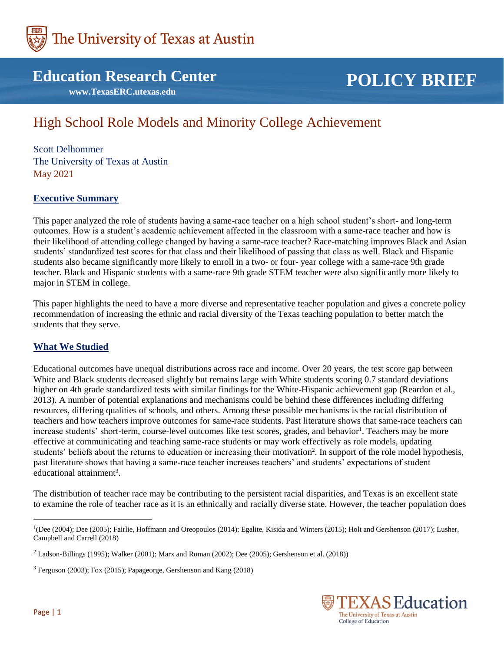

# **Education Research Center**

 **www.TexasERC.utexas.edu**

# **POLICY BRIEF**

# High School Role Models and Minority College Achievement

Scott Delhommer The University of Texas at Austin May 2021

#### **Executive Summary**

This paper analyzed the role of students having a same-race teacher on a high school student's short- and long-term outcomes. How is a student's academic achievement affected in the classroom with a same-race teacher and how is their likelihood of attending college changed by having a same-race teacher? Race-matching improves Black and Asian students' standardized test scores for that class and their likelihood of passing that class as well. Black and Hispanic students also became significantly more likely to enroll in a two- or four- year college with a same-race 9th grade teacher. Black and Hispanic students with a same-race 9th grade STEM teacher were also significantly more likely to major in STEM in college.

This paper highlights the need to have a more diverse and representative teacher population and gives a concrete policy recommendation of increasing the ethnic and racial diversity of the Texas teaching population to better match the students that they serve.

#### **What We Studied**

Educational outcomes have unequal distributions across race and income. Over 20 years, the test score gap between White and Black students decreased slightly but remains large with White students scoring 0.7 standard deviations higher on 4th grade standardized tests with similar findings for the White-Hispanic achievement gap (Reardon et al., 2013). A number of potential explanations and mechanisms could be behind these differences including differing resources, differing qualities of schools, and others. Among these possible mechanisms is the racial distribution of teachers and how teachers improve outcomes for same-race students. Past literature shows that same-race teachers can increase students' short-term, course-level outcomes like test scores, grades, and behavior<sup>1</sup>. Teachers may be more effective at communicating and teaching same-race students or may work effectively as role models, updating students' beliefs about the returns to education or increasing their motivation<sup>2</sup>. In support of the role model hypothesis, past literature shows that having a same-race teacher increases teachers' and students' expectations of student educational attainment<sup>3</sup>.

The distribution of teacher race may be contributing to the persistent racial disparities, and Texas is an excellent state to examine the role of teacher race as it is an ethnically and racially diverse state. However, the teacher population does



 $\overline{a}$ 

<sup>&</sup>lt;sup>1</sup>(Dee (2004); Dee (2005); Fairlie, Hoffmann and Oreopoulos (2014); Egalite, Kisida and Winters (2015); Holt and Gershenson (2017); Lusher, Campbell and Carrell (2018)

 $2$  Ladson-Billings (1995); Walker (2001); Marx and Roman (2002); Dee (2005); Gershenson et al. (2018))

<sup>3</sup> Ferguson (2003); Fox (2015); Papageorge, Gershenson and Kang (2018)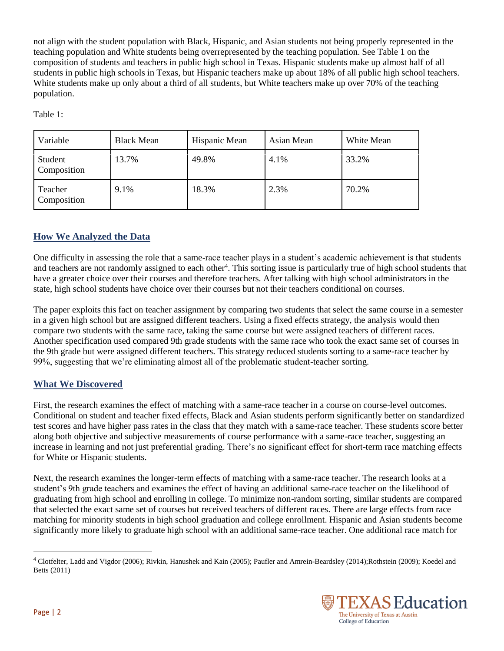not align with the student population with Black, Hispanic, and Asian students not being properly represented in the teaching population and White students being overrepresented by the teaching population. See Table 1 on the composition of students and teachers in public high school in Texas. Hispanic students make up almost half of all students in public high schools in Texas, but Hispanic teachers make up about 18% of all public high school teachers. White students make up only about a third of all students, but White teachers make up over 70% of the teaching population.

Table 1:

| Variable               | <b>Black Mean</b> | Hispanic Mean | Asian Mean | White Mean |
|------------------------|-------------------|---------------|------------|------------|
| Student<br>Composition | 13.7%             | 49.8%         | 4.1%       | 33.2%      |
| Teacher<br>Composition | 9.1%              | 18.3%         | 2.3%       | 70.2%      |

## **How We Analyzed the Data**

One difficulty in assessing the role that a same-race teacher plays in a student's academic achievement is that students and teachers are not randomly assigned to each other<sup>4</sup>. This sorting issue is particularly true of high school students that have a greater choice over their courses and therefore teachers. After talking with high school administrators in the state, high school students have choice over their courses but not their teachers conditional on courses.

The paper exploits this fact on teacher assignment by comparing two students that select the same course in a semester in a given high school but are assigned different teachers. Using a fixed effects strategy, the analysis would then compare two students with the same race, taking the same course but were assigned teachers of different races. Another specification used compared 9th grade students with the same race who took the exact same set of courses in the 9th grade but were assigned different teachers. This strategy reduced students sorting to a same-race teacher by 99%, suggesting that we're eliminating almost all of the problematic student-teacher sorting.

## **What We Discovered**

First, the research examines the effect of matching with a same-race teacher in a course on course-level outcomes. Conditional on student and teacher fixed effects, Black and Asian students perform significantly better on standardized test scores and have higher pass rates in the class that they match with a same-race teacher. These students score better along both objective and subjective measurements of course performance with a same-race teacher, suggesting an increase in learning and not just preferential grading. There's no significant effect for short-term race matching effects for White or Hispanic students.

Next, the research examines the longer-term effects of matching with a same-race teacher. The research looks at a student's 9th grade teachers and examines the effect of having an additional same-race teacher on the likelihood of graduating from high school and enrolling in college. To minimize non-random sorting, similar students are compared that selected the exact same set of courses but received teachers of different races. There are large effects from race matching for minority students in high school graduation and college enrollment. Hispanic and Asian students become significantly more likely to graduate high school with an additional same-race teacher. One additional race match for

<sup>4</sup> Clotfelter, Ladd and Vigdor (2006); Rivkin, Hanushek and Kain (2005); Paufler and Amrein-Beardsley (2014);Rothstein (2009); Koedel and Betts (2011)



 $\overline{a}$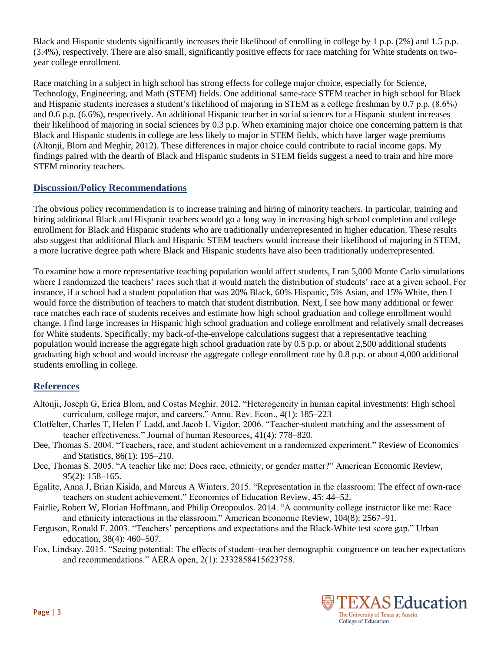Black and Hispanic students significantly increases their likelihood of enrolling in college by 1 p.p. (2%) and 1.5 p.p. (3.4%), respectively. There are also small, significantly positive effects for race matching for White students on twoyear college enrollment.

Race matching in a subject in high school has strong effects for college major choice, especially for Science, Technology, Engineering, and Math (STEM) fields. One additional same-race STEM teacher in high school for Black and Hispanic students increases a student's likelihood of majoring in STEM as a college freshman by 0.7 p.p. (8.6%) and 0.6 p.p. (6.6%), respectively. An additional Hispanic teacher in social sciences for a Hispanic student increases their likelihood of majoring in social sciences by 0.3 p.p. When examining major choice one concerning pattern is that Black and Hispanic students in college are less likely to major in STEM fields, which have larger wage premiums (Altonji, Blom and Meghir, 2012). These differences in major choice could contribute to racial income gaps. My findings paired with the dearth of Black and Hispanic students in STEM fields suggest a need to train and hire more STEM minority teachers.

#### **Discussion/Policy Recommendations**

The obvious policy recommendation is to increase training and hiring of minority teachers. In particular, training and hiring additional Black and Hispanic teachers would go a long way in increasing high school completion and college enrollment for Black and Hispanic students who are traditionally underrepresented in higher education. These results also suggest that additional Black and Hispanic STEM teachers would increase their likelihood of majoring in STEM, a more lucrative degree path where Black and Hispanic students have also been traditionally underrepresented.

To examine how a more representative teaching population would affect students, I ran 5,000 Monte Carlo simulations where I randomized the teachers' races such that it would match the distribution of students' race at a given school. For instance, if a school had a student population that was 20% Black, 60% Hispanic, 5% Asian, and 15% White, then I would force the distribution of teachers to match that student distribution. Next, I see how many additional or fewer race matches each race of students receives and estimate how high school graduation and college enrollment would change. I find large increases in Hispanic high school graduation and college enrollment and relatively small decreases for White students. Specifically, my back-of-the-envelope calculations suggest that a representative teaching population would increase the aggregate high school graduation rate by 0.5 p.p. or about 2,500 additional students graduating high school and would increase the aggregate college enrollment rate by 0.8 p.p. or about 4,000 additional students enrolling in college.

## **References**

- Altonji, Joseph G, Erica Blom, and Costas Meghir. 2012. "Heterogeneity in human capital investments: High school curriculum, college major, and careers." Annu. Rev. Econ., 4(1): 185–223
- Clotfelter, Charles T, Helen F Ladd, and Jacob L Vigdor. 2006. "Teacher-student matching and the assessment of teacher effectiveness." Journal of human Resources, 41(4): 778–820.
- Dee, Thomas S. 2004. "Teachers, race, and student achievement in a randomized experiment." Review of Economics and Statistics, 86(1): 195–210.
- Dee, Thomas S. 2005. "A teacher like me: Does race, ethnicity, or gender matter?" American Economic Review, 95(2): 158–165.
- Egalite, Anna J, Brian Kisida, and Marcus A Winters. 2015. "Representation in the classroom: The effect of own-race teachers on student achievement." Economics of Education Review, 45: 44–52.
- Fairlie, Robert W, Florian Hoffmann, and Philip Oreopoulos. 2014. "A community college instructor like me: Race and ethnicity interactions in the classroom." American Economic Review, 104(8): 2567–91.
- Ferguson, Ronald F. 2003. "Teachers' perceptions and expectations and the Black-White test score gap." Urban education, 38(4): 460–507.
- Fox, Lindsay. 2015. "Seeing potential: The effects of student–teacher demographic congruence on teacher expectations and recommendations." AERA open, 2(1): 2332858415623758.